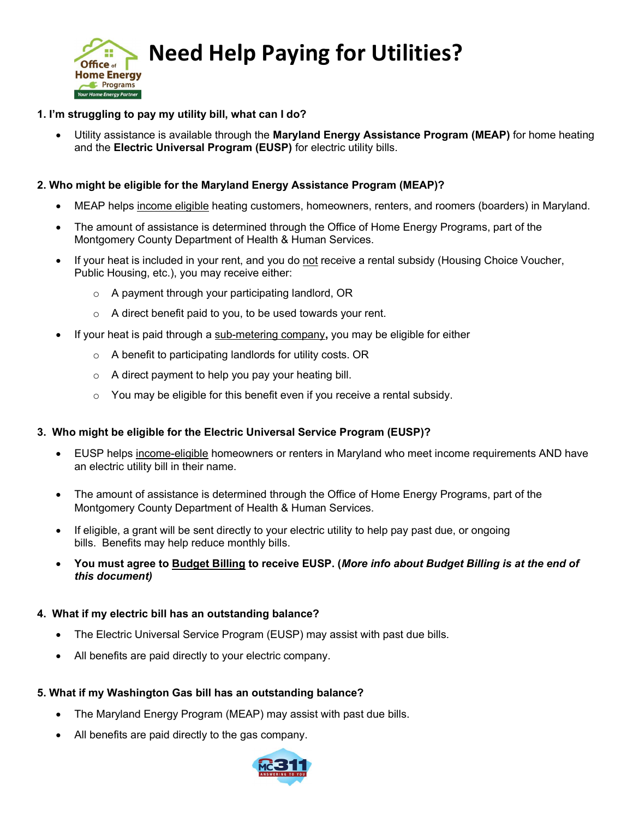

# **Office of Deed Help Paying for Utilities?**

## 1. I'm struggling to pay my utility bill, what can I do?

Utility assistance is available through the **Maryland Energy Assistance Program (MEAP)** for home heating and the Electric Universal Program (EUSP) for electric utility bills.

#### 2. Who might be eligible for the Maryland Energy Assistance Program (MEAP)?

- MEAP helps income eligible heating customers, homeowners, renters, and roomers (boarders) in Maryland.
- The amount of assistance is determined through the Office of Home Energy Programs, part of the Montgomery County Department of Health & Human Services.
- If your heat is included in your rent, and you do not receive a rental subsidy (Housing Choice Voucher, Public Housing, etc.), you may receive either:
	- o A payment through your participating landlord, OR
	- $\circ$  A direct benefit paid to you, to be used towards your rent.
- If your heat is paid through a sub-metering company, you may be eligible for either
	- o A benefit to participating landlords for utility costs. OR
	- o A direct payment to help you pay your heating bill.
	- $\circ$  You may be eligible for this benefit even if you receive a rental subsidy.

#### 3. Who might be eligible for the Electric Universal Service Program (EUSP)?

- EUSP helps income-eligible homeowners or renters in Maryland who meet income requirements AND have an electric utility bill in their name.
- The amount of assistance is determined through the Office of Home Energy Programs, part of the Montgomery County Department of Health & Human Services.
- If eligible, a grant will be sent directly to your electric utility to help pay past due, or ongoing bills. Benefits may help reduce monthly bills.
- You must agree to Budget Billing to receive EUSP. (More info about Budget Billing is at the end of this document)

#### 4. What if my electric bill has an outstanding balance?

- The Electric Universal Service Program (EUSP) may assist with past due bills.
- All benefits are paid directly to your electric company.

#### 5. What if my Washington Gas bill has an outstanding balance?

- The Maryland Energy Program (MEAP) may assist with past due bills.
- All benefits are paid directly to the gas company.

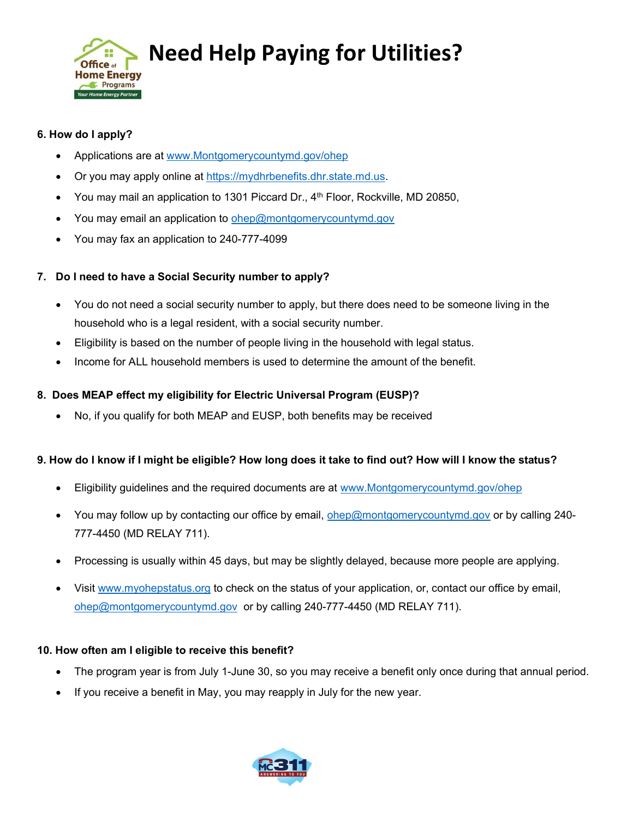

## Need Help Paying for Utilities?

## 6. How do I apply?

- Applications are at www.Montgomerycountymd.gov/ohep
- Or you may apply online at https://mydhrbenefits.dhr.state.md.us.
- You may mail an application to 1301 Piccard Dr., 4<sup>th</sup> Floor, Rockville, MD 20850,
- You may email an application to ohep@montgomerycountymd.gov
- You may fax an application to 240-777-4099

## 7. Do I need to have a Social Security number to apply?

- You do not need a social security number to apply, but there does need to be someone living in the household who is a legal resident, with a social security number.
- Eligibility is based on the number of people living in the household with legal status.
- Income for ALL household members is used to determine the amount of the benefit.

## 8. Does MEAP effect my eligibility for Electric Universal Program (EUSP)?

No, if you qualify for both MEAP and EUSP, both benefits may be received

## 9. How do I know if I might be eligible? How long does it take to find out? How will I know the status?

- Eligibility guidelines and the required documents are at www.Montgomerycountymd.gov/ohep
- You may follow up by contacting our office by email, ohep@montgomerycountymd.gov or by calling 240-777-4450 (MD RELAY 711).
- Processing is usually within 45 days, but may be slightly delayed, because more people are applying.
- Visit www.myohepstatus.org to check on the status of your application, or, contact our office by email, ohep@montgomerycountymd.gov or by calling 240-777-4450 (MD RELAY 711).

#### 10. How often am I eligible to receive this benefit?

- The program year is from July 1-June 30, so you may receive a benefit only once during that annual period.
- If you receive a benefit in May, you may reapply in July for the new year.